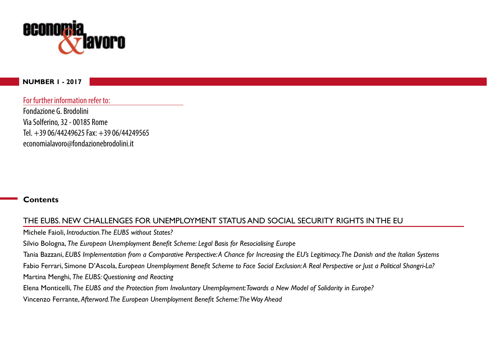

#### **NUMBER 1 - 2017**

For further information refer to:

Fondazione G. Brodolini Via Solferino, 32 - 00185 Rome Tel.  $+3906/44249625$  Fax:  $+3906/44249565$ economialavoro@fondazionebrodolini.it

#### **Contents**

# THE EUBS. NEW CHALLENGES FOR UNEMPLOYMENT STATUS AND SOCIAL SECURITY RIGHTS IN THE EU

Michele Faioli, *Introduction. The EUBS without States?*

Silvio Bologna, *The European Unemployment Benefit Scheme: Legal Basis for Resocialising Europe* 

Tania Bazzani, *EUBS Implementation from a Comparative Perspective: A Chance for Increasing the EU's Legitimacy. The Danish and the Italian Systems* 

Fabio Ferrari, Simone D'Ascola, *European Unemployment Benefit Scheme to Face Social Exclusion: A Real Perspective or Just a Political Shangri-La?* 

Martina Menghi, *The EUBS: Questioning and Reacting* 

Elena Monticelli, *The EUBS and the Protection from Involuntary Unemployment: Towards a New Model of Solidarity in Europe?* 

Vincenzo Ferrante, Afterword. The European Unemployment Benefit Scheme: The Way Ahead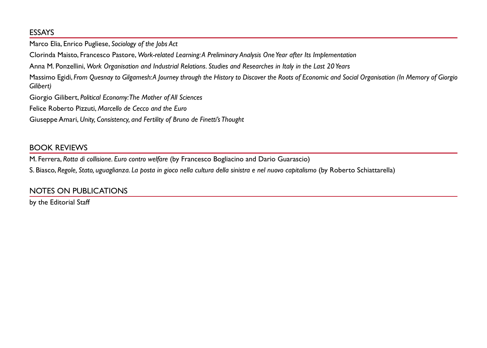## ESSAYS

Marco Elia, Enrico Pugliese, *Sociology* of the *lobs* Act

Clorinda Maisto, Francesco Pastore, Work-related Learning: A Preliminary Analysis One Year after Its Implementation

Anna M. Ponzellini, Work Organisation and Industrial Relations. Studies and Researches in Italy in the Last 20 Years

Massimo Egidi, From Quesnay to Gilgamesh:A Journey through the History to Discover the Roots of Economic and Social Organisation (In Memory of Giorgio  $Gilibert)$ 

Giorgio Gilibert, Political Economy: The Mother of All Sciences

Felice Roberto Pizzuti, *Marcello de Cecco and the Euro* 

Giuseppe Amari, Unity, Consistency, and Fertility of Bruno de Finetti's Thought

# BOOK REVIEWS

M. Ferrera, *Rotta di collisione. Euro contro welfare* (by Francesco Bogliacino and Dario Guarascio)

S. Biasco, Regole, Stato, uguaglianza. La posta in gioco nella cultura della sinistra e nel nuovo capitalismo (by Roberto Schiattarella)

# NOTES ON PUBLICATIONS

by the Editorial Staff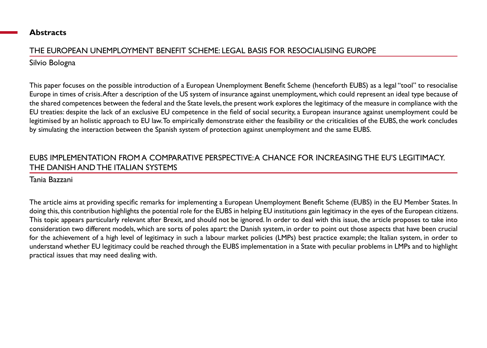#### **Abstracts**

## THE EUROPEAN UNEMPLOYMENT BENEFIT SCHEME: LEGAL BASIS FOR RESOCIALISING EUROPE

## Silvio Bologna

This paper focuses on the possible introduction of a European Unemployment Benefit Scheme (henceforth EUBS) as a legal "tool" to resocialise Europe in times of crisis. After a description of the US system of insurance against unemployment, which could represent an ideal type because of the shared competences between the federal and the State levels, the present work explores the legitimacy of the measure in compliance with the EU treaties: despite the lack of an exclusive EU competence in the field of social security, a European insurance against unemployment could be legitimised by an holistic approach to EU law. To empirically demonstrate either the feasibility or the criticalities of the EUBS, the work concludes by simulating the interaction between the Spanish system of protection against unemployment and the same EUBS.

## EUBS IMPLEMENTATION FROM A COMPARATIVE PERSPECTIVE: A CHANCE FOR INCREASING THE EU'S LEGITIMACY. THE DANISH AND THE ITALIAN SYSTEMS

### Tania Bazzani

The article aims at providing specific remarks for implementing a European Unemployment Benefit Scheme (EUBS) in the EU Member States. In doing this, this contribution highlights the potential role for the EUBS in helping EU institutions gain legitimacy in the eyes of the European citizens. This topic appears particularly relevant after Brexit, and should not be ignored. In order to deal with this issue, the article proposes to take into consideration two different models, which are sorts of poles apart: the Danish system, in order to point out those aspects that have been crucial for the achievement of a high level of legitimacy in such a labour market policies (LMPs) best practice example; the Italian system, in order to understand whether EU legitimacy could be reached through the EUBS implementation in a State with peculiar problems in LMPs and to highlight practical issues that may need dealing with.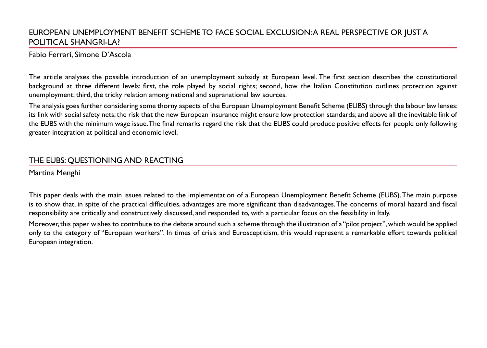## EUROPEAN UNEMPLOYMENT BENEFIT SCHEME TO FACE SOCIAL EXCLUSION: A REAL PERSPECTIVE OR JUST A POLITICAL SHANGRI-LA?

#### Fabio Ferrari, Simone D'Ascola

The article analyses the possible introduction of an unemployment subsidy at European level. The first section describes the constitutional background at three different levels: first, the role played by social rights; second, how the Italian Constitution outlines protection against unemployment; third, the tricky relation among national and supranational law sources.

The analysis goes further considering some thorny aspects of the European Unemployment Benefit Scheme (EUBS) through the labour law lenses: its link with social safety nets; the risk that the new European insurance might ensure low protection standards; and above all the inevitable link of the EUBS with the minimum wage issue. The final remarks regard the risk that the EUBS could produce positive effects for people only following greater integration at political and economic level.

### THE EUBS: QUESTIONING AND REACTING

Martina Menghi

This paper deals with the main issues related to the implementation of a European Unemployment Benefit Scheme (EUBS). The main purpose is to show that, in spite of the practical difficulties, advantages are more significant than disadvantages. The concerns of moral hazard and fiscal responsibility are critically and constructively discussed, and responded to, with a particular focus on the feasibility in Italy.

Moreover, this paper wishes to contribute to the debate around such a scheme through the illustration of a "pilot project", which would be applied only to the category of "European workers". In times of crisis and Euroscepticism, this would represent a remarkable effort towards political European integration.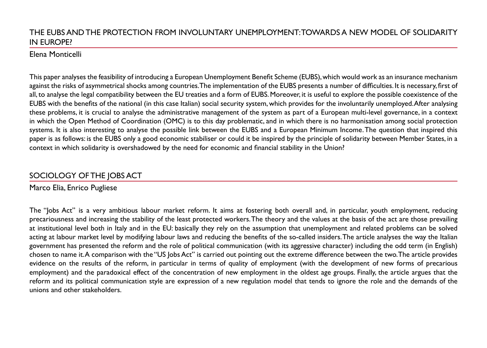## THE EUBS AND THE PROTECTION FROM INVOLUNTARY UNEMPLOYMENT: TOWARDS A NEW MODEL OF SOLIDARITY IN EUROPE?

#### Elena Monticelli

This paper analyses the feasibility of introducing a European Unemployment Benefit Scheme (EUBS), which would work as an insurance mechanism against the risks of asymmetrical shocks among countries. The implementation of the EUBS presents a number of difficulties. It is necessary, first of all, to analyse the legal compatibility between the EU treaties and a form of EUBS. Moreover, it is useful to explore the possible coexistence of the EUBS with the benefits of the national (in this case Italian) social security system, which provides for the involuntarily unemployed. After analysing these problems, it is crucial to analyse the administrative management of the system as part of a European multi-level governance, in a context in which the Open Method of Coordination (OMC) is to this day problematic, and in which there is no harmonisation among social protection systems. It is also interesting to analyse the possible link between the EUBS and a European Minimum Income. The question that inspired this paper is as follows: is the EUBS only a good economic stabiliser or could it be inspired by the principle of solidarity between Member States, in a context in which solidarity is overshadowed by the need for economic and financial stability in the Union?

# SOCIOLOGY OF THE JOBS ACT

# Marco Elia, Enrico Pugliese

The "lobs Act" is a very ambitious labour market reform. It aims at fostering both overall and, in particular, youth employment, reducing precariousness and increasing the stability of the least protected workers. The theory and the values at the basis of the act are those prevailing at institutional level both in Italy and in the EU: basically they rely on the assumption that unemployment and related problems can be solved acting at labour market level by modifying labour laws and reducing the benefits of the so-called insiders. The article analyses the way the Italian government has presented the reform and the role of political communication (with its aggressive character) including the odd term (in English) chosen to name it.A comparison with the "US |obs Act" is carried out pointing out the extreme difference between the two.The article provides evidence on the results of the reform, in particular in terms of quality of employment (with the development of new forms of precarious employment) and the paradoxical effect of the concentration of new employment in the oldest age groups. Finally, the article argues that the reform and its political communication style are expression of a new regulation model that tends to ignore the role and the demands of the unions and other stakeholders.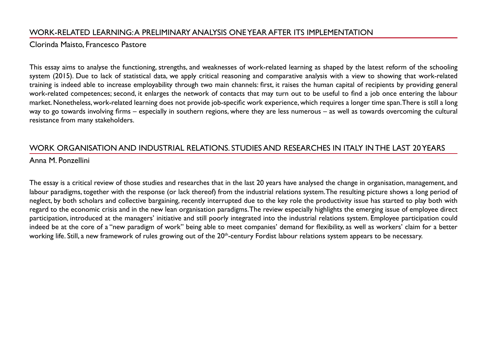## WORK-RELATED LEARNING: A PRELIMINARY ANALYSIS ONE YEAR AFTER ITS IMPLEMENTATION

#### Clorinda Maisto, Francesco Pastore

This essay aims to analyse the functioning, strengths, and weaknesses of work-related learning as shaped by the latest reform of the schooling system (2015). Due to lack of statistical data, we apply critical reasoning and comparative analysis with a view to showing that work-related training is indeed able to increase employability through two main channels: first, it raises the human capital of recipients by providing general work-related competences; second, it enlarges the network of contacts that may turn out to be useful to find a job once entering the labour market. Nonetheless, work-related learning does not provide job-specific work experience, which requires a longer time span. There is still a long way to go towards involving firms – especially in southern regions, where they are less numerous – as well as towards overcoming the cultural resistance from many stakeholders.

# WORK ORGANISATION AND INDUSTRIAL RELATIONS. STUDIES AND RESEARCHES IN ITALY IN THE LAST 20 YEARS

#### Anna M. Ponzellini

The essay is a critical review of those studies and researches that in the last 20 years have analysed the change in organisation, management, and labour paradigms, together with the response (or lack thereof) from the industrial relations system. The resulting picture shows a long period of neglect, by both scholars and collective bargaining, recently interrupted due to the key role the productivity issue has started to play both with regard to the economic crisis and in the new lean organisation paradigms. The review especially highlights the emerging issue of employee direct participation, introduced at the managers' initiative and still poorly integrated into the industrial relations system. Employee participation could indeed be at the core of a "new paradigm of work" being able to meet companies' demand for flexibility, as well as workers' claim for a better working life. Still, a new framework of rules growing out of the 20<sup>th</sup>-century Fordist labour relations system appears to be necessary.